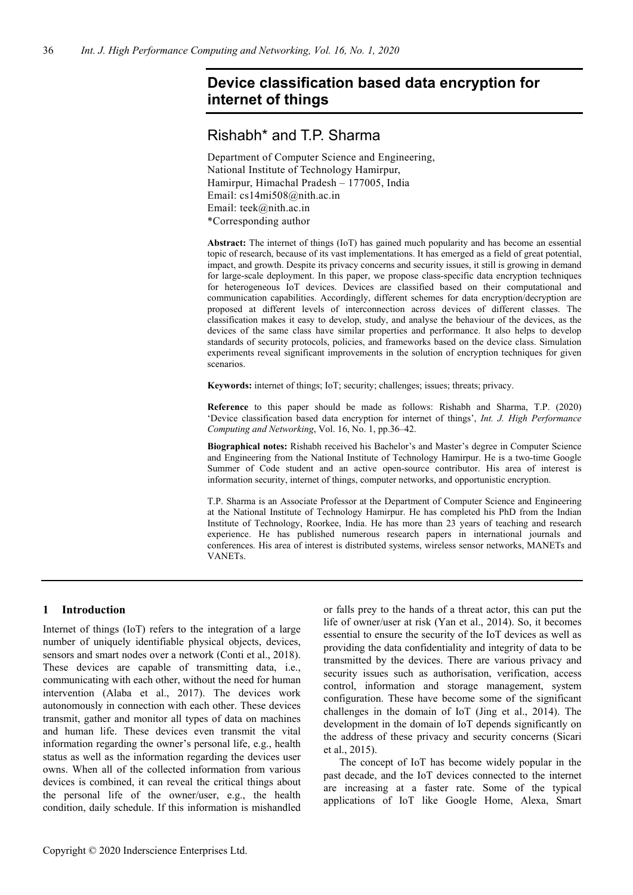# **Device classification based data encryption for internet of things**

# Rishabh\* and T.P. Sharma

Department of Computer Science and Engineering, National Institute of Technology Hamirpur, Hamirpur, Himachal Pradesh – 177005, India Email: cs14mi508@nith.ac.in Email: teek@nith.ac.in \*Corresponding author

**Abstract:** The internet of things (IoT) has gained much popularity and has become an essential topic of research, because of its vast implementations. It has emerged as a field of great potential, impact, and growth. Despite its privacy concerns and security issues, it still is growing in demand for large-scale deployment. In this paper, we propose class-specific data encryption techniques for heterogeneous IoT devices. Devices are classified based on their computational and communication capabilities. Accordingly, different schemes for data encryption/decryption are proposed at different levels of interconnection across devices of different classes. The classification makes it easy to develop, study, and analyse the behaviour of the devices, as the devices of the same class have similar properties and performance. It also helps to develop standards of security protocols, policies, and frameworks based on the device class. Simulation experiments reveal significant improvements in the solution of encryption techniques for given scenarios.

**Keywords:** internet of things; IoT; security; challenges; issues; threats; privacy.

**Reference** to this paper should be made as follows: Rishabh and Sharma, T.P. (2020) 'Device classification based data encryption for internet of things', *Int. J. High Performance Computing and Networking*, Vol. 16, No. 1, pp.36–42.

**Biographical notes:** Rishabh received his Bachelor's and Master's degree in Computer Science and Engineering from the National Institute of Technology Hamirpur. He is a two-time Google Summer of Code student and an active open-source contributor. His area of interest is information security, internet of things, computer networks, and opportunistic encryption.

T.P. Sharma is an Associate Professor at the Department of Computer Science and Engineering at the National Institute of Technology Hamirpur. He has completed his PhD from the Indian Institute of Technology, Roorkee, India. He has more than 23 years of teaching and research experience. He has published numerous research papers in international journals and conferences. His area of interest is distributed systems, wireless sensor networks, MANETs and VANETs.

# **1 Introduction**

Internet of things (IoT) refers to the integration of a large number of uniquely identifiable physical objects, devices, sensors and smart nodes over a network (Conti et al., 2018). These devices are capable of transmitting data, i.e., communicating with each other, without the need for human intervention (Alaba et al., 2017). The devices work autonomously in connection with each other. These devices transmit, gather and monitor all types of data on machines and human life. These devices even transmit the vital information regarding the owner's personal life, e.g., health status as well as the information regarding the devices user owns. When all of the collected information from various devices is combined, it can reveal the critical things about the personal life of the owner/user, e.g., the health condition, daily schedule. If this information is mishandled or falls prey to the hands of a threat actor, this can put the life of owner/user at risk (Yan et al., 2014). So, it becomes essential to ensure the security of the IoT devices as well as providing the data confidentiality and integrity of data to be transmitted by the devices. There are various privacy and security issues such as authorisation, verification, access control, information and storage management, system configuration. These have become some of the significant challenges in the domain of IoT (Jing et al., 2014). The development in the domain of IoT depends significantly on the address of these privacy and security concerns (Sicari et al., 2015).

The concept of IoT has become widely popular in the past decade, and the IoT devices connected to the internet are increasing at a faster rate. Some of the typical applications of IoT like Google Home, Alexa, Smart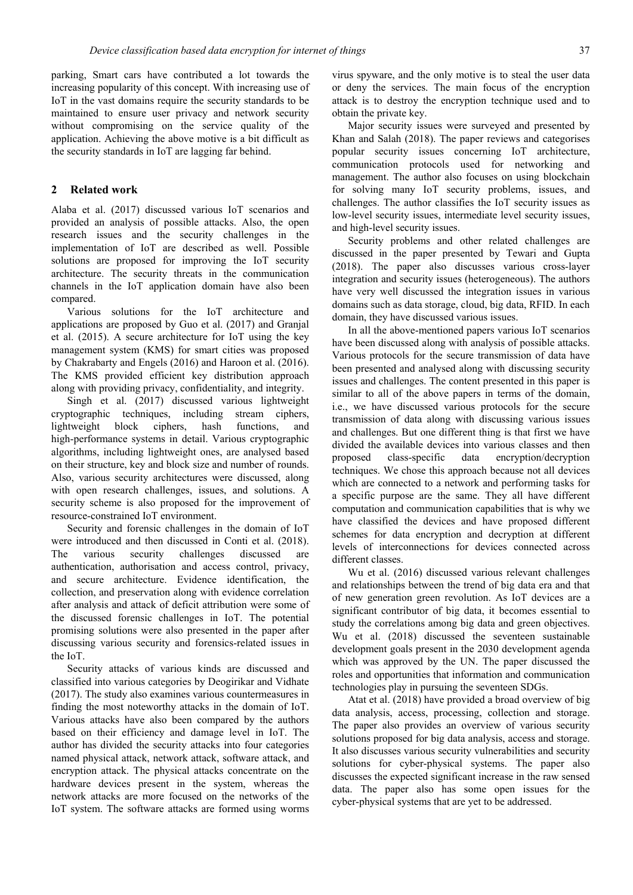parking, Smart cars have contributed a lot towards the increasing popularity of this concept. With increasing use of IoT in the vast domains require the security standards to be maintained to ensure user privacy and network security without compromising on the service quality of the application. Achieving the above motive is a bit difficult as the security standards in IoT are lagging far behind.

#### **2 Related work**

Alaba et al. (2017) discussed various IoT scenarios and provided an analysis of possible attacks. Also, the open research issues and the security challenges in the implementation of IoT are described as well. Possible solutions are proposed for improving the IoT security architecture. The security threats in the communication channels in the IoT application domain have also been compared.

Various solutions for the IoT architecture and applications are proposed by Guo et al. (2017) and Granjal et al. (2015). A secure architecture for IoT using the key management system (KMS) for smart cities was proposed by Chakrabarty and Engels (2016) and Haroon et al. (2016). The KMS provided efficient key distribution approach along with providing privacy, confidentiality, and integrity.

Singh et al. (2017) discussed various lightweight cryptographic techniques, including stream ciphers, lightweight block ciphers, hash functions, and high-performance systems in detail. Various cryptographic algorithms, including lightweight ones, are analysed based on their structure, key and block size and number of rounds. Also, various security architectures were discussed, along with open research challenges, issues, and solutions. A security scheme is also proposed for the improvement of resource-constrained IoT environment.

Security and forensic challenges in the domain of IoT were introduced and then discussed in Conti et al. (2018). The various security challenges discussed are authentication, authorisation and access control, privacy, and secure architecture. Evidence identification, the collection, and preservation along with evidence correlation after analysis and attack of deficit attribution were some of the discussed forensic challenges in IoT. The potential promising solutions were also presented in the paper after discussing various security and forensics-related issues in the IoT.

Security attacks of various kinds are discussed and classified into various categories by Deogirikar and Vidhate (2017). The study also examines various countermeasures in finding the most noteworthy attacks in the domain of IoT. Various attacks have also been compared by the authors based on their efficiency and damage level in IoT. The author has divided the security attacks into four categories named physical attack, network attack, software attack, and encryption attack. The physical attacks concentrate on the hardware devices present in the system, whereas the network attacks are more focused on the networks of the IoT system. The software attacks are formed using worms

virus spyware, and the only motive is to steal the user data or deny the services. The main focus of the encryption attack is to destroy the encryption technique used and to obtain the private key.

Major security issues were surveyed and presented by Khan and Salah (2018). The paper reviews and categorises popular security issues concerning IoT architecture, communication protocols used for networking and management. The author also focuses on using blockchain for solving many IoT security problems, issues, and challenges. The author classifies the IoT security issues as low-level security issues, intermediate level security issues, and high-level security issues.

Security problems and other related challenges are discussed in the paper presented by Tewari and Gupta (2018). The paper also discusses various cross-layer integration and security issues (heterogeneous). The authors have very well discussed the integration issues in various domains such as data storage, cloud, big data, RFID. In each domain, they have discussed various issues.

In all the above-mentioned papers various IoT scenarios have been discussed along with analysis of possible attacks. Various protocols for the secure transmission of data have been presented and analysed along with discussing security issues and challenges. The content presented in this paper is similar to all of the above papers in terms of the domain, i.e., we have discussed various protocols for the secure transmission of data along with discussing various issues and challenges. But one different thing is that first we have divided the available devices into various classes and then proposed class-specific data encryption/decryption techniques. We chose this approach because not all devices which are connected to a network and performing tasks for a specific purpose are the same. They all have different computation and communication capabilities that is why we have classified the devices and have proposed different schemes for data encryption and decryption at different levels of interconnections for devices connected across different classes.

Wu et al. (2016) discussed various relevant challenges and relationships between the trend of big data era and that of new generation green revolution. As IoT devices are a significant contributor of big data, it becomes essential to study the correlations among big data and green objectives. Wu et al. (2018) discussed the seventeen sustainable development goals present in the 2030 development agenda which was approved by the UN. The paper discussed the roles and opportunities that information and communication technologies play in pursuing the seventeen SDGs.

Atat et al. (2018) have provided a broad overview of big data analysis, access, processing, collection and storage. The paper also provides an overview of various security solutions proposed for big data analysis, access and storage. It also discusses various security vulnerabilities and security solutions for cyber-physical systems. The paper also discusses the expected significant increase in the raw sensed data. The paper also has some open issues for the cyber-physical systems that are yet to be addressed.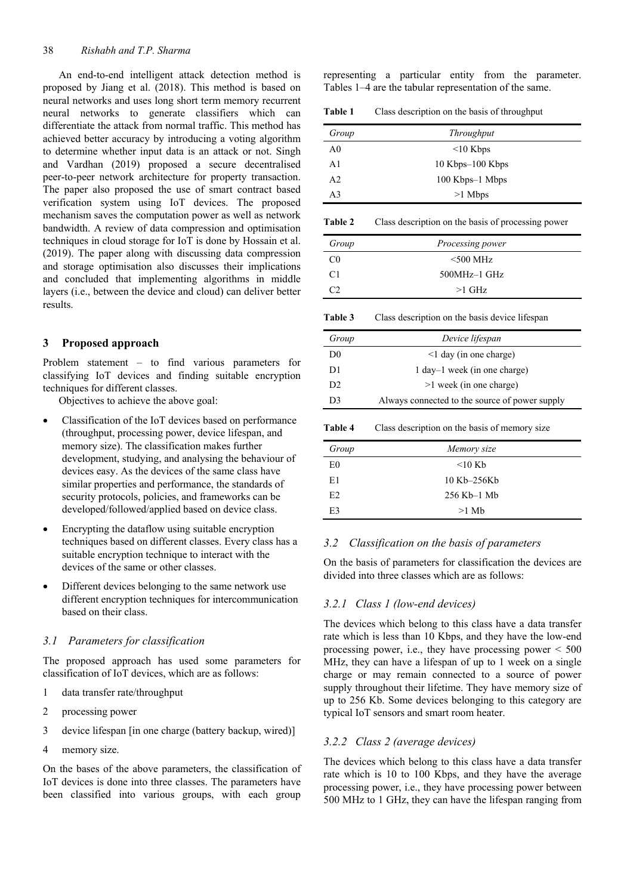An end-to-end intelligent attack detection method is proposed by Jiang et al. (2018). This method is based on neural networks and uses long short term memory recurrent neural networks to generate classifiers which can differentiate the attack from normal traffic. This method has achieved better accuracy by introducing a voting algorithm to determine whether input data is an attack or not. Singh and Vardhan (2019) proposed a secure decentralised peer-to-peer network architecture for property transaction. The paper also proposed the use of smart contract based verification system using IoT devices. The proposed mechanism saves the computation power as well as network bandwidth. A review of data compression and optimisation techniques in cloud storage for IoT is done by Hossain et al. (2019). The paper along with discussing data compression and storage optimisation also discusses their implications and concluded that implementing algorithms in middle layers (i.e., between the device and cloud) can deliver better results.

## **3 Proposed approach**

Problem statement – to find various parameters for classifying IoT devices and finding suitable encryption techniques for different classes.

Objectives to achieve the above goal:

- Classification of the IoT devices based on performance (throughput, processing power, device lifespan, and memory size). The classification makes further development, studying, and analysing the behaviour of devices easy. As the devices of the same class have similar properties and performance, the standards of security protocols, policies, and frameworks can be developed/followed/applied based on device class.
- Encrypting the dataflow using suitable encryption techniques based on different classes. Every class has a suitable encryption technique to interact with the devices of the same or other classes.
- Different devices belonging to the same network use different encryption techniques for intercommunication based on their class.

#### *3.1 Parameters for classification*

The proposed approach has used some parameters for classification of IoT devices, which are as follows:

- 1 data transfer rate/throughput
- 2 processing power
- 3 device lifespan [in one charge (battery backup, wired)]
- 4 memory size.

On the bases of the above parameters, the classification of IoT devices is done into three classes. The parameters have been classified into various groups, with each group

representing a particular entity from the parameter. Tables 1–4 are the tabular representation of the same.

**Table 1** Class description on the basis of throughput

| Group          | Throughput            |  |
|----------------|-----------------------|--|
| A0             | $\leq 10$ Kbps        |  |
| A <sub>1</sub> | $10$ Kbps $-100$ Kbps |  |
| A <sub>2</sub> | 100 Kbps-1 Mbps       |  |
| A3             | $>1$ Mbps             |  |

**Table 2** Class description on the basis of processing power

| Group          | <i>Processing power</i> |  |
|----------------|-------------------------|--|
| C <sub>0</sub> | $<$ 500 MHz             |  |
| C1             | $500MHz-1$ GHz          |  |
| $\Gamma$       | $>1$ GHz                |  |

**Table 3** Class description on the basis device lifespan

| Group          | Device lifespan                                |
|----------------|------------------------------------------------|
| D0             | $\leq$ 1 day (in one charge)                   |
| D1             | 1 day–1 week (in one charge)                   |
| D <sub>2</sub> | $>1$ week (in one charge)                      |
| D3             | Always connected to the source of power supply |
|                |                                                |

**Table 4** Class description on the basis of memory size

| Group          | Memory size |  |
|----------------|-------------|--|
| E0             | $10$ Kb     |  |
| E1             | 10 Kb-256Kb |  |
| E <sub>2</sub> | 256 Kb-1 Mb |  |
| E3             | $>1$ Mb     |  |

#### *3.2 Classification on the basis of parameters*

On the basis of parameters for classification the devices are divided into three classes which are as follows:

### *3.2.1 Class 1 (low-end devices)*

The devices which belong to this class have a data transfer rate which is less than 10 Kbps, and they have the low-end processing power, i.e., they have processing power  $\leq 500$ MHz, they can have a lifespan of up to 1 week on a single charge or may remain connected to a source of power supply throughout their lifetime. They have memory size of up to 256 Kb. Some devices belonging to this category are typical IoT sensors and smart room heater.

#### *3.2.2 Class 2 (average devices)*

The devices which belong to this class have a data transfer rate which is 10 to 100 Kbps, and they have the average processing power, i.e., they have processing power between 500 MHz to 1 GHz, they can have the lifespan ranging from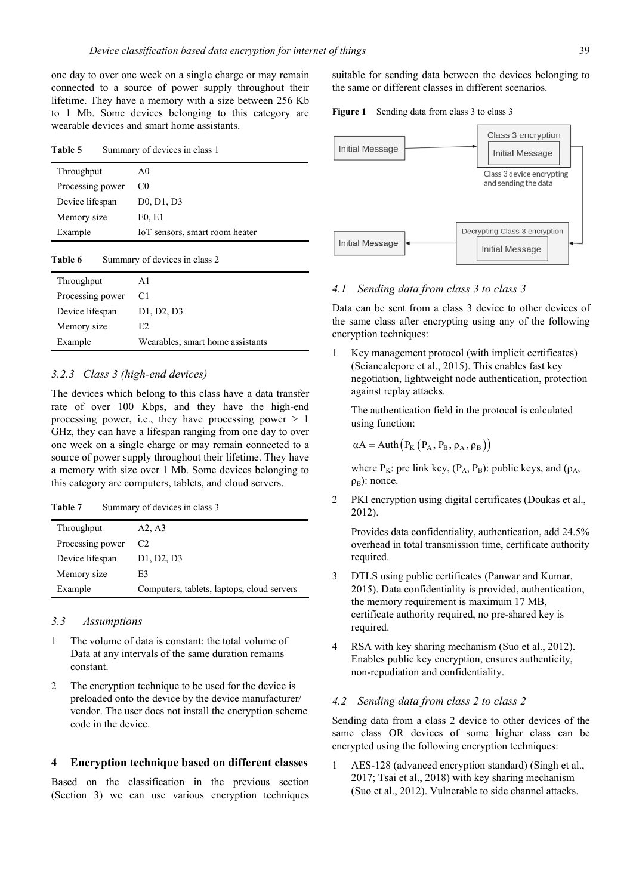one day to over one week on a single charge or may remain connected to a source of power supply throughout their lifetime. They have a memory with a size between 256 Kb to 1 Mb. Some devices belonging to this category are wearable devices and smart home assistants.

|  | <b>Table 5</b> |  | Summary of devices in class 1 |  |  |  |  |  |
|--|----------------|--|-------------------------------|--|--|--|--|--|
|--|----------------|--|-------------------------------|--|--|--|--|--|

| Throughput       | A0                             |
|------------------|--------------------------------|
| Processing power | C <sub>0</sub>                 |
| Device lifespan  | D0, D1, D3                     |
| Memory size      | E0, E1                         |
| Example          | IoT sensors, smart room heater |
|                  |                                |

| Table 6 |  | Summary of devices in class 2 |  |  |  |
|---------|--|-------------------------------|--|--|--|
|---------|--|-------------------------------|--|--|--|

| Throughput       | A1                                               |
|------------------|--------------------------------------------------|
| Processing power | C1                                               |
| Device lifespan  | D <sub>1</sub> , D <sub>2</sub> , D <sub>3</sub> |
| Memory size      | E2                                               |
| Example          | Wearables, smart home assistants                 |

## *3.2.3 Class 3 (high-end devices)*

The devices which belong to this class have a data transfer rate of over 100 Kbps, and they have the high-end processing power, i.e., they have processing power  $> 1$ GHz, they can have a lifespan ranging from one day to over one week on a single charge or may remain connected to a source of power supply throughout their lifetime. They have a memory with size over 1 Mb. Some devices belonging to this category are computers, tablets, and cloud servers.

Table 7 Summary of devices in class 3

| Throughput       | A2, A3                                     |
|------------------|--------------------------------------------|
| Processing power | C2                                         |
| Device lifespan  | D1, D2, D3                                 |
| Memory size      | E <sub>3</sub>                             |
| Example          | Computers, tablets, laptops, cloud servers |

## *3.3 Assumptions*

- 1 The volume of data is constant: the total volume of Data at any intervals of the same duration remains constant.
- 2 The encryption technique to be used for the device is preloaded onto the device by the device manufacturer/ vendor. The user does not install the encryption scheme code in the device.

## **4 Encryption technique based on different classes**

Based on the classification in the previous section (Section 3) we can use various encryption techniques suitable for sending data between the devices belonging to the same or different classes in different scenarios.

**Figure 1** Sending data from class 3 to class 3



## *4.1 Sending data from class 3 to class 3*

Data can be sent from a class 3 device to other devices of the same class after encrypting using any of the following encryption techniques:

1 Key management protocol (with implicit certificates) (Sciancalepore et al., 2015). This enables fast key negotiation, lightweight node authentication, protection against replay attacks.

The authentication field in the protocol is calculated using function:

$$
\alpha A = \text{Auth}\left(P_K\left(P_A, P_B, \rho_A, \rho_B\right)\right)
$$

where  $P_K$ : pre link key,  $(P_A, P_B)$ : public keys, and  $(\rho_A, P_B)$  $\rho_B$ ): nonce.

2 PKI encryption using digital certificates (Doukas et al., 2012).

Provides data confidentiality, authentication, add 24.5% overhead in total transmission time, certificate authority required.

- 3 DTLS using public certificates (Panwar and Kumar, 2015). Data confidentiality is provided, authentication, the memory requirement is maximum 17 MB, certificate authority required, no pre-shared key is required.
- 4 RSA with key sharing mechanism (Suo et al., 2012). Enables public key encryption, ensures authenticity, non-repudiation and confidentiality.

#### *4.2 Sending data from class 2 to class 2*

Sending data from a class 2 device to other devices of the same class OR devices of some higher class can be encrypted using the following encryption techniques:

1 AES-128 (advanced encryption standard) (Singh et al., 2017; Tsai et al., 2018) with key sharing mechanism (Suo et al., 2012). Vulnerable to side channel attacks.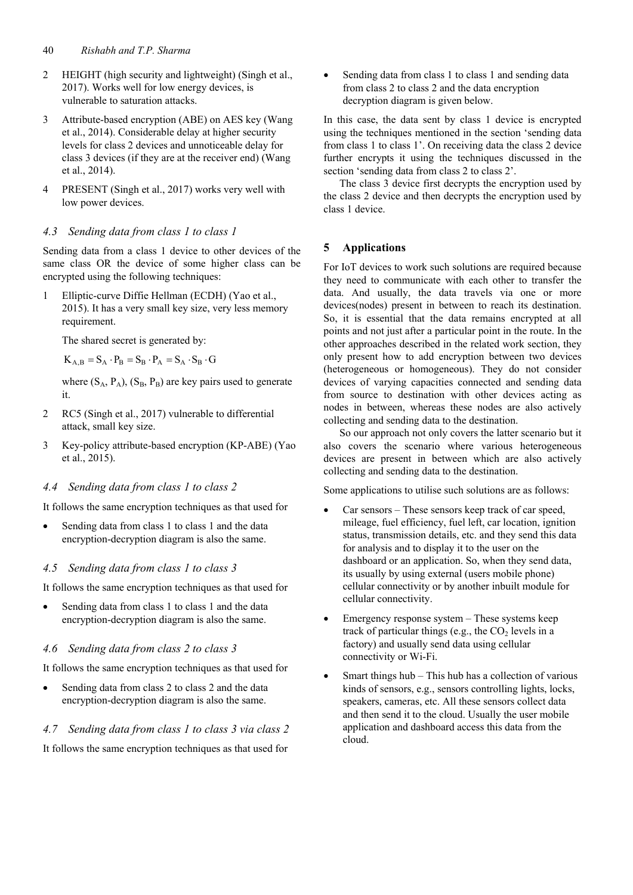- 2 HEIGHT (high security and lightweight) (Singh et al., 2017). Works well for low energy devices, is vulnerable to saturation attacks.
- 3 Attribute-based encryption (ABE) on AES key (Wang et al., 2014). Considerable delay at higher security levels for class 2 devices and unnoticeable delay for class 3 devices (if they are at the receiver end) (Wang et al., 2014).
- 4 PRESENT (Singh et al., 2017) works very well with low power devices.

## *4.3 Sending data from class 1 to class 1*

Sending data from a class 1 device to other devices of the same class OR the device of some higher class can be encrypted using the following techniques:

1 Elliptic-curve Diffie Hellman (ECDH) (Yao et al., 2015). It has a very small key size, very less memory requirement.

The shared secret is generated by:

 $K_{A,B} = S_A \cdot P_B = S_B \cdot P_A = S_A \cdot S_B \cdot G$ 

where  $(S_A, P_A)$ ,  $(S_B, P_B)$  are key pairs used to generate it.

- 2 RC5 (Singh et al., 2017) vulnerable to differential attack, small key size.
- 3 Key-policy attribute-based encryption (KP-ABE) (Yao et al., 2015).

# *4.4 Sending data from class 1 to class 2*

It follows the same encryption techniques as that used for

 Sending data from class 1 to class 1 and the data encryption-decryption diagram is also the same.

# *4.5 Sending data from class 1 to class 3*

It follows the same encryption techniques as that used for

 Sending data from class 1 to class 1 and the data encryption-decryption diagram is also the same.

# *4.6 Sending data from class 2 to class 3*

It follows the same encryption techniques as that used for

 Sending data from class 2 to class 2 and the data encryption-decryption diagram is also the same.

# *4.7 Sending data from class 1 to class 3 via class 2*

It follows the same encryption techniques as that used for

 Sending data from class 1 to class 1 and sending data from class 2 to class 2 and the data encryption decryption diagram is given below.

In this case, the data sent by class 1 device is encrypted using the techniques mentioned in the section 'sending data from class 1 to class 1'. On receiving data the class 2 device further encrypts it using the techniques discussed in the section 'sending data from class 2 to class 2'.

The class 3 device first decrypts the encryption used by the class 2 device and then decrypts the encryption used by class 1 device.

# **5 Applications**

For IoT devices to work such solutions are required because they need to communicate with each other to transfer the data. And usually, the data travels via one or more devices(nodes) present in between to reach its destination. So, it is essential that the data remains encrypted at all points and not just after a particular point in the route. In the other approaches described in the related work section, they only present how to add encryption between two devices (heterogeneous or homogeneous). They do not consider devices of varying capacities connected and sending data from source to destination with other devices acting as nodes in between, whereas these nodes are also actively collecting and sending data to the destination.

So our approach not only covers the latter scenario but it also covers the scenario where various heterogeneous devices are present in between which are also actively collecting and sending data to the destination.

Some applications to utilise such solutions are as follows:

- Car sensors These sensors keep track of car speed, mileage, fuel efficiency, fuel left, car location, ignition status, transmission details, etc. and they send this data for analysis and to display it to the user on the dashboard or an application. So, when they send data, its usually by using external (users mobile phone) cellular connectivity or by another inbuilt module for cellular connectivity.
- Emergency response system These systems keep track of particular things (e.g., the  $CO<sub>2</sub>$  levels in a factory) and usually send data using cellular connectivity or Wi-Fi.
- Smart things hub This hub has a collection of various kinds of sensors, e.g., sensors controlling lights, locks, speakers, cameras, etc. All these sensors collect data and then send it to the cloud. Usually the user mobile application and dashboard access this data from the cloud.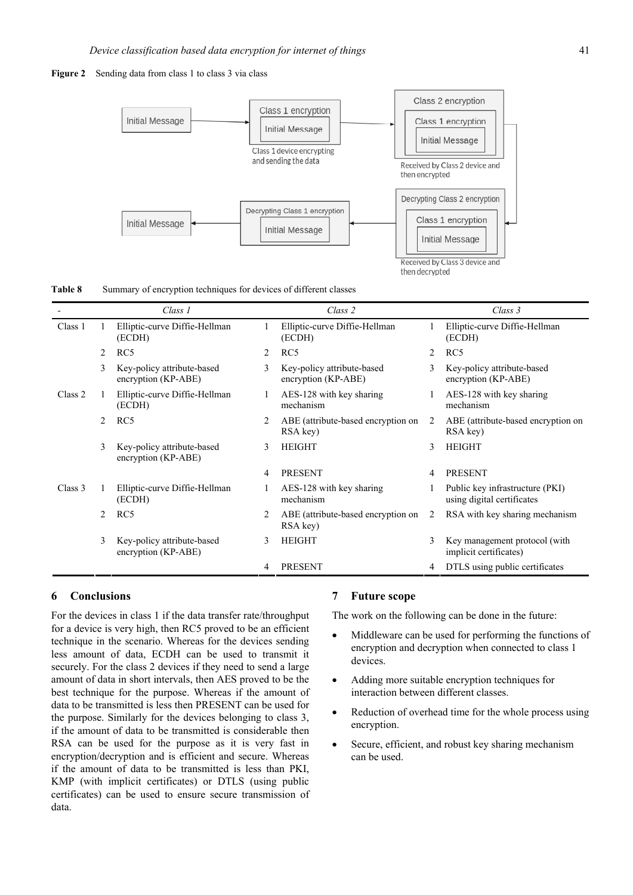



then decrypted

| <b>Table 8</b> |  |  |  |  | Summary of encryption techniques for devices of different classes |
|----------------|--|--|--|--|-------------------------------------------------------------------|
|----------------|--|--|--|--|-------------------------------------------------------------------|

|         |                | Class 1                                           |   | Class 2                                           |                | Class 3                                                       |
|---------|----------------|---------------------------------------------------|---|---------------------------------------------------|----------------|---------------------------------------------------------------|
| Class 1 |                | Elliptic-curve Diffie-Hellman<br>(ECDH)           |   | Elliptic-curve Diffie-Hellman<br>(ECDH)           |                | Elliptic-curve Diffie-Hellman<br>(ECDH)                       |
|         | $\mathfrak{D}$ | RC5                                               | 2 | RC5                                               | $\mathfrak{D}$ | RC5                                                           |
|         | 3              | Key-policy attribute-based<br>encryption (KP-ABE) | 3 | Key-policy attribute-based<br>encryption (KP-ABE) | 3.             | Key-policy attribute-based<br>encryption (KP-ABE)             |
| Class 2 |                | Elliptic-curve Diffie-Hellman<br>(ECDH)           |   | AES-128 with key sharing<br>mechanism             |                | AES-128 with key sharing<br>mechanism                         |
|         | 2              | RC <sub>5</sub>                                   | 2 | ABE (attribute-based encryption on<br>RSA key)    | 2              | ABE (attribute-based encryption on<br>RSA key)                |
|         | 3              | Key-policy attribute-based<br>encryption (KP-ABE) | 3 | <b>HEIGHT</b>                                     | 3              | <b>HEIGHT</b>                                                 |
|         |                |                                                   | 4 | <b>PRESENT</b>                                    |                | <b>PRESENT</b>                                                |
| Class 3 |                | Elliptic-curve Diffie-Hellman<br>(ECDH)           |   | AES-128 with key sharing<br>mechanism             |                | Public key infrastructure (PKI)<br>using digital certificates |
|         | $\mathfrak{D}$ | RC <sub>5</sub>                                   | 2 | ABE (attribute-based encryption on<br>RSA key)    | 2              | RSA with key sharing mechanism                                |
|         | 3              | Key-policy attribute-based<br>encryption (KP-ABE) | 3 | <b>HEIGHT</b>                                     |                | Key management protocol (with<br>implicit certificates)       |
|         |                |                                                   |   | <b>PRESENT</b>                                    |                | DTLS using public certificates                                |

#### **6 Conclusions**

For the devices in class 1 if the data transfer rate/throughput for a device is very high, then RC5 proved to be an efficient technique in the scenario. Whereas for the devices sending less amount of data, ECDH can be used to transmit it securely. For the class 2 devices if they need to send a large amount of data in short intervals, then AES proved to be the best technique for the purpose. Whereas if the amount of data to be transmitted is less then PRESENT can be used for the purpose. Similarly for the devices belonging to class 3, if the amount of data to be transmitted is considerable then RSA can be used for the purpose as it is very fast in encryption/decryption and is efficient and secure. Whereas if the amount of data to be transmitted is less than PKI, KMP (with implicit certificates) or DTLS (using public certificates) can be used to ensure secure transmission of data.

### **7 Future scope**

The work on the following can be done in the future:

- Middleware can be used for performing the functions of encryption and decryption when connected to class 1 devices.
- Adding more suitable encryption techniques for interaction between different classes.
- Reduction of overhead time for the whole process using encryption.
- Secure, efficient, and robust key sharing mechanism can be used.